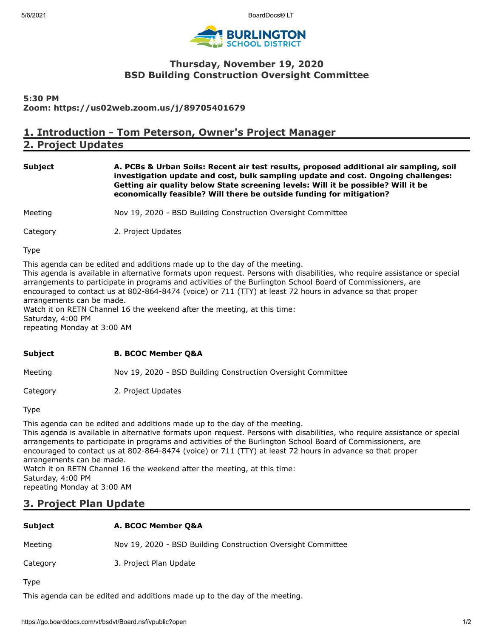

## **Thursday, November 19, 2020 BSD Building Construction Oversight Committee**

#### **5:30 PM Zoom: https://us02web.zoom.us/j/89705401679**

# **1. Introduction - Tom Peterson, Owner's Project Manager**

**2. Project Updates**

**Subject A. PCBs & Urban Soils: Recent air test results, proposed additional air sampling, soil investigation update and cost, bulk sampling update and cost. Ongoing challenges: Getting air quality below State screening levels: Will it be possible? Will it be economically feasible? Will there be outside funding for mitigation?**

Meeting Nov 19, 2020 - BSD Building Construction Oversight Committee

Category 2. Project Updates

Type

This agenda can be edited and additions made up to the day of the meeting. This agenda is available in alternative formats upon request. Persons with disabilities, who require assistance or special arrangements to participate in programs and activities of the Burlington School Board of Commissioners, are encouraged to contact us at 802-864-8474 (voice) or 711 (TTY) at least 72 hours in advance so that proper arrangements can be made. Watch it on RETN Channel 16 the weekend after the meeting, at this time:

Saturday, 4:00 PM repeating Monday at 3:00 AM

#### **Subject B. BCOC Member Q&A**

Meeting Mov 19, 2020 - BSD Building Construction Oversight Committee

Category 2. Project Updates

Type

This agenda can be edited and additions made up to the day of the meeting. This agenda is available in alternative formats upon request. Persons with disabilities, who require assistance or special arrangements to participate in programs and activities of the Burlington School Board of Commissioners, are encouraged to contact us at 802-864-8474 (voice) or 711 (TTY) at least 72 hours in advance so that proper arrangements can be made. Watch it on RETN Channel 16 the weekend after the meeting, at this time: Saturday, 4:00 PM

repeating Monday at 3:00 AM

## **3. Project Plan Update**

### **Subject A. BCOC Member Q&A**

Meeting Nov 19, 2020 - BSD Building Construction Oversight Committee

Category 3. Project Plan Update

Type

This agenda can be edited and additions made up to the day of the meeting.